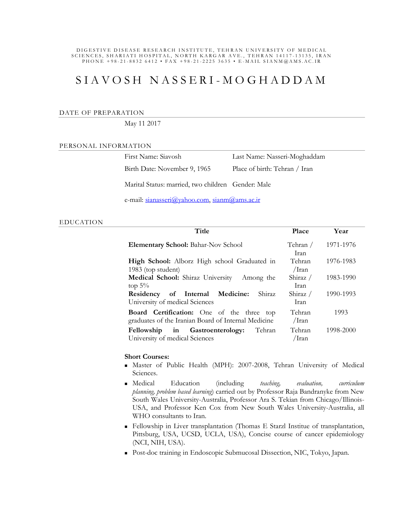#### DIG ESTIVE DISEASE RESEARCH INSTITUTE, TEHRAN UNIVERSITY OF MEDICAL SCIENCES, SHARIATI HOSPITAL, NORTH KARGAR AVE., TEHRAN 14117-13135, IRAN P H O N E + 98 - 21 - 8832 6412 • FAX + 98 - 21 - 2225 3635 • E - MAIL SIANM @ AMS. A C. IR

# S I A V O S H N A S S E R I - M O G H A D D A M

#### DATE OF PREPARATION

### May 11 2017

#### PERSONAL INFORMATION

| First Name: Siavosh          | Last Name: Nasseri-Moghaddam  |
|------------------------------|-------------------------------|
| Birth Date: November 9, 1965 | Place of birth: Tehran / Iran |

Marital Status: married, two children Gender: Male

e-mail: sianasseri@yahoo.com, sianm@ams.ac.ir

## EDUCATION

| Title                                                                                                   | Place              | Year      |
|---------------------------------------------------------------------------------------------------------|--------------------|-----------|
| <b>Elementary School:</b> Bahar-Nov School                                                              | Tehran /<br>Iran.  | 1971-1976 |
| High School: Alborz High school Graduated in<br>1983 (top student)                                      | Tehran<br>/Iran    | 1976-1983 |
| Medical School: Shiraz University<br>Among the<br>top $5\%$                                             | Shiraz $/$<br>Iran | 1983-1990 |
| Residency of Internal Medicine:<br>Shiraz<br>University of medical Sciences                             | Shiraz /<br>Iran.  | 1990-1993 |
| <b>Board Certification:</b> One of the three top<br>graduates of the Iranian Board of Internal Medicine | Tehran<br>/Iran    | 1993      |
| Fellowship in Gastroenterology:<br>Tehran<br>University of medical Sciences                             | Tehran<br>/Iran    | 1998-2000 |

### **Short Courses:**

- Master of Public Health (MPH): 2007-2008, Tehran University of Medical Sciences.
- Medical Education (including *teaching, evaluation, curriculum planning, problem based learning*) carried out by Professor Raja Bandranyke from New South Wales University-Australia, Professor Ara S. Tekian from Chicago/Illinois-USA, and Professor Ken Cox from New South Wales University-Australia, all WHO consultants to Iran.
- Fellowship in Liver transplantation (Thomas E Starzl Institue of transplantation, Pittsburg, USA, UCSD, UCLA, USA), Concise course of cancer epidemiology (NCI, NIH, USA).
- Post-doc training in Endoscopic Submucosal Dissection, NIC, Tokyo, Japan.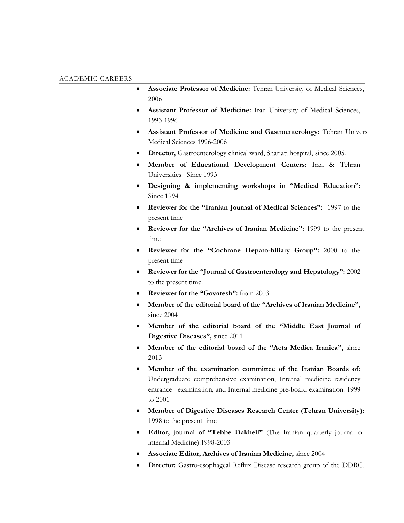- **Associate Professor of Medicine:** Tehran University of Medical Sciences, 2006
- **Assistant Professor of Medicine:** Iran University of Medical Sciences, 1993-1996
- **Assistant Professor of Medicine and Gastroenterology:** Tehran University Medical Sciences 1996-2006
- **Director,** Gastroenterology clinical ward, Shariati hospital, since 2005.
- **Member of Educational Development Centers:** Iran & Tehran Universities Since 1993
- **Designing & implementing workshops in "Medical Education":** Since 1994
- **Reviewer for the "Iranian Journal of Medical Sciences":** 1997 to the present time
- **Reviewer for the "Archives of Iranian Medicine":** 1999 to the present time
- **Reviewer for the "Cochrane Hepato-biliary Group":** 2000 to the present time
- **Reviewer for the "Journal of Gastroenterology and Hepatology":** 2002 to the present time.
- **Reviewer for the "Govaresh":** from 2003
- **Member of the editorial board of the "Archives of Iranian Medicine",**  since 2004
- **Member of the editorial board of the "Middle East Journal of Digestive Diseases",** since 2011
- **Member of the editorial board of the "Acta Medica Iranica",** since 2013
- **Member of the examination committee of the Iranian Boards of:**  Undergraduate comprehensive examination, Internal medicine residency entrance examination, and Internal medicine pre-board examination: 1999 to 2001
- **Member of Digestive Diseases Research Center (Tehran University):**  1998 to the present time
- **Editor, journal of "Tebbe Dakheli"** (The Iranian quarterly journal of internal Medicine):1998-2003
- **Associate Editor, Archives of Iranian Medicine,** since 2004
- **Director:** Gastro-esophageal Reflux Disease research group of the DDRC.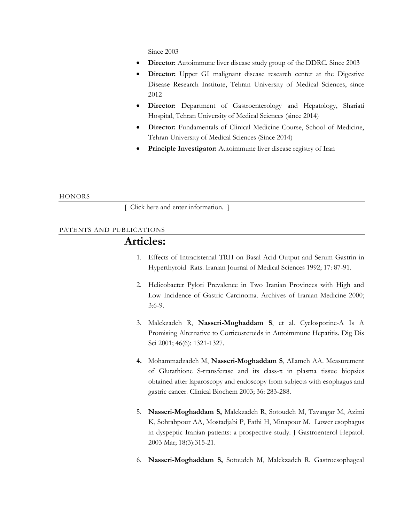Since 2003

- **Director:** Autoimmune liver disease study group of the DDRC. Since 2003
- **Director:** Upper GI malignant disease research center at the Digestive Disease Research Institute, Tehran University of Medical Sciences, since 2012
- **Director:** Department of Gastroenterology and Hepatology, Shariati Hospital, Tehran University of Medical Sciences (since 2014)
- **Director:** Fundamentals of Clinical Medicine Course, School of Medicine, Tehran University of Medical Sciences (Since 2014)
- **Principle Investigator:** Autoimmune liver disease registry of Iran

## **HONORS**

[ Click here and enter information. ]

## PATENTS AND PUBLICATIONS

## **Articles:**

- 1. Effects of Intracisternal TRH on Basal Acid Output and Serum Gastrin in Hyperthyroid Rats. Iranian Journal of Medical Sciences 1992; 17: 87-91.
- 2. Helicobacter Pylori Prevalence in Two Iranian Provinces with High and Low Incidence of Gastric Carcinoma. Archives of Iranian Medicine 2000; 3:6-9.
- 3. Malekzadeh R, **Nasseri-Moghaddam S**, et al. Cyclosporine-A Is A Promising Alternative to Corticosteroids in Autoimmune Hepatitis. Dig Dis Sci 2001; 46(6): 1321-1327.
- **4.** Mohammadzadeh M, **Nasseri-Moghaddam S**, Allameh AA. Measurement of Glutathione S-transferase and its class- $\pi$  in plasma tissue biopsies obtained after laparoscopy and endoscopy from subjects with esophagus and gastric cancer. Clinical Biochem 2003; 36: 283-288.
- 5. **Nasseri-Moghaddam S,** Malekzadeh R, Sotoudeh M, Tavangar M, Azimi K, Sohrabpour AA, Mostadjabi P, Fathi H, Minapoor M. Lower esophagus in dyspeptic Iranian patients: a prospective study. J Gastroenterol Hepatol. 2003 Mar; 18(3):315-21.
- 6. **Nasseri-Moghaddam S,** Sotoudeh M, Malekzadeh R. Gastroesophageal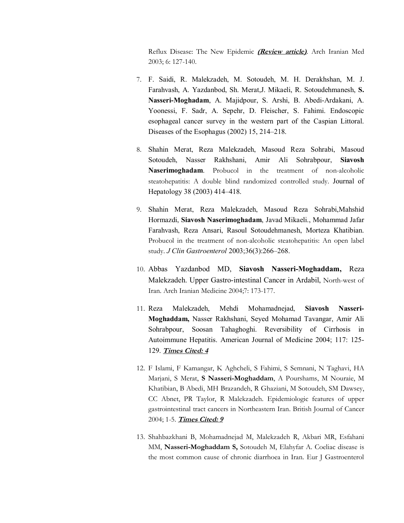Reflux Disease: The New Epidemic *(Review article)*. Arch Iranian Med 2003; 6: 127-140.

- 7. F. Saidi, R. Malekzadeh, M. Sotoudeh, M. H. Derakhshan, M. J. Farahvash, A. Yazdanbod, Sh. Merat,J. Mikaeli, R. Sotoudehmanesh, **S. Nasseri-Moghadam**, A. Majidpour, S. Arshi, B. Abedi-Ardakani, A. Yoonessi, F. Sadr, A. Sepehr, D. Fleischer, S. Fahimi. Endoscopic esophageal cancer survey in the western part of the Caspian Littoral. Diseases of the Esophagus (2002) 15, 214–218.
- 8. Shahin Merat, Reza Malekzadeh, Masoud Reza Sohrabi, Masoud Sotoudeh, Nasser Rakhshani, Amir Ali Sohrabpour, **Siavosh Naserimoghadam**. Probucol in the treatment of non-alcoholic steatohepatitis: A double blind randomized controlled study. Journal of Hepatology 38 (2003) 414–418.
- 9. Shahin Merat, Reza Malekzadeh, Masoud Reza Sohrabi,Mahshid Hormazdi, **Siavosh Naserimoghadam**, Javad Mikaeli., Mohammad Jafar Farahvash, Reza Ansari, Rasoul Sotoudehmanesh, Morteza Khatibian. Probucol in the treatment of non-alcoholic steatohepatitis: An open label study. *J Clin Gastroenterol* 2003;36(3):266–268.
- 10. Abbas Yazdanbod MD, **Siavosh Nasseri-Moghaddam,** Reza Malekzadeh. Upper Gastro-intestinal Cancer in Ardabil, North-west of Iran. Arch Iranian Medicine 2004;7: 173-177.
- 11. Reza Malekzadeh, Mehdi Mohamadnejad, **Siavosh Nasseri-Moghaddam,** Nasser Rakhshani, Seyed Mohamad Tavangar, Amir Ali Sohrabpour, Soosan Tahaghoghi. Reversibility of Cirrhosis in Autoimmune Hepatitis. American Journal of Medicine 2004; 117: 125- 129. *Times Cited: 4*
- 12. F Islami, F Kamangar, K Aghcheli, S Fahimi, S Semnani, N Taghavi, HA Marjani, S Merat, **S Nasseri-Moghaddam**, A Pourshams, M Nouraie, M Khatibian, B Abedi, MH Brazandeh, R Ghaziani, M Sotoudeh, SM Dawsey, CC Abnet, PR Taylor, R Malekzadeh. Epidemiologic features of upper gastrointestinal tract cancers in Northeastern Iran. British Journal of Cancer 2004; 1-5. *Times Cited: 9*
- 13. Shahbazkhani B, Mohamadnejad M, Malekzadeh R, Akbari MR, Esfahani MM, **Nasseri-Moghaddam S,** Sotoudeh M, Elahyfar A. Coeliac disease is the most common cause of chronic diarrhoea in Iran. Eur J Gastroenterol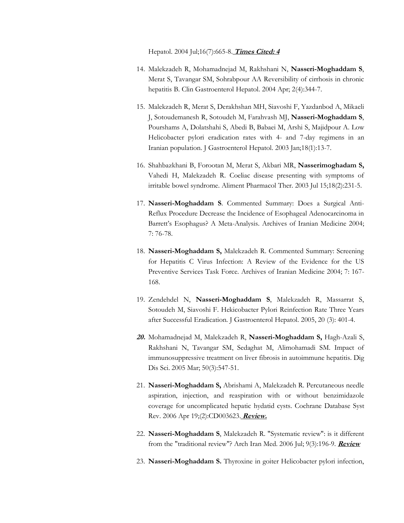Hepatol. 2004 Jul;16(7):665-8. *Times Cited: 4*

- 14. Malekzadeh R, Mohamadnejad M, Rakhshani N, **Nasseri-Moghaddam S**, Merat S, Tavangar SM, Sohrabpour AA Reversibility of cirrhosis in chronic hepatitis B. Clin Gastroenterol Hepatol. 2004 Apr; 2(4):344-7.
- 15. Malekzadeh R, Merat S, Derakhshan MH, Siavoshi F, Yazdanbod A, Mikaeli J, Sotoudemanesh R, Sotoudeh M, Farahvash MJ, **Nasseri-Moghaddam S**, Pourshams A, Dolatshahi S, Abedi B, Babaei M, Arshi S, Majidpour A. Low Helicobacter pylori eradication rates with 4- and 7-day regimens in an Iranian population. J Gastroenterol Hepatol. 2003 Jan;18(1):13-7.
- 16. Shahbazkhani B, Forootan M, Merat S, Akbari MR, **Nasserimoghadam S,** Vahedi H, Malekzadeh R. Coeliac disease presenting with symptoms of irritable bowel syndrome. Aliment Pharmacol Ther. 2003 Jul 15;18(2):231-5.
- 17. **Nasseri-Moghaddam S**. Commented Summary: Does a Surgical Anti-Reflux Procedure Decrease the Incidence of Esophageal Adenocarcinoma in Barrett's Esophagus? A Meta-Analysis. Archives of Iranian Medicine 2004; 7: 76-78.
- 18. **Nasseri-Moghaddam S,** Malekzadeh R. Commented Summary: Screening for Hepatitis C Virus Infection: A Review of the Evidence for the US Preventive Services Task Force. Archives of Iranian Medicine 2004; 7: 167- 168.
- 19. Zendehdel N, **Nasseri-Moghaddam S**, Malekzadeh R, Massarrat S, Sotoudeh M, Siavoshi F. Hekicobacter Pylori Reinfection Rate Three Years after Successful Eradication. J Gastroenterol Hepatol. 2005, 20 (3): 401-4.
- *20.* Mohamadnejad M, Malekzadeh R, **Nasseri-Moghaddam S,** Hagh-Azali S, Rakhshani N, Tavangar SM, Sedaghat M, Alimohamadi SM. Impact of immunosuppressive treatment on liver fibrosis in autoimmune hepatitis. Dig Dis Sci. 2005 Mar; 50(3):547-51.
- 21. **Nasseri-Moghaddam S,** Abrishami A, Malekzadeh R. Percutaneous needle aspiration, injection, and reaspiration with or without benzimidazole coverage for uncomplicated hepatic hydatid cysts. Cochrane Database Syst Rev. 2006 Apr 19;(2):CD003623. *Review.*
- 22. **Nasseri-Moghaddam S**, Malekzadeh R. "Systematic review": is it different from the "traditional review"? Arch Iran Med. 2006 Jul; 9(3):196-9. *Review*
- 23. **Nasseri-Moghaddam S.** Thyroxine in goiter Helicobacter pylori infection,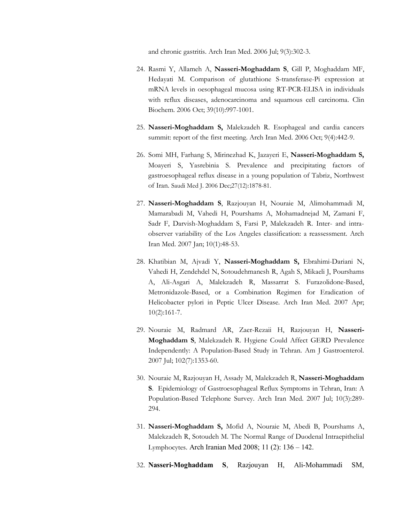and chronic gastritis. Arch Iran Med. 2006 Jul; 9(3):302-3.

- 24. Rasmi Y, Allameh A, **Nasseri-Moghaddam S**, Gill P, Moghaddam MF, Hedayati M. Comparison of glutathione S-transferase-Pi expression at mRNA levels in oesophageal mucosa using RT-PCR-ELISA in individuals with reflux diseases, adenocarcinoma and squamous cell carcinoma. Clin Biochem. 2006 Oct; 39(10):997-1001.
- 25. **Nasseri-Moghaddam S,** Malekzadeh R. Esophageal and cardia cancers summit: report of the first meeting. Arch Iran Med. 2006 Oct; 9(4):442-9.
- 26. Somi MH, Farhang S, Mirinezhad K, Jazayeri E, **Nasseri-Moghaddam S,** Moayeri S, Yasrebinia S. Prevalence and precipitating factors of gastroesophageal reflux disease in a young population of Tabriz, Northwest of Iran. Saudi Med J. 2006 Dec;27(12):1878-81.
- 27. **Nasseri-Moghaddam S**, Razjouyan H, Nouraie M, Alimohammadi M, Mamarabadi M, Vahedi H, Pourshams A, Mohamadnejad M, Zamani F, Sadr F, Darvish-Moghaddam S, Farsi P, Malekzadeh R. Inter- and intraobserver variability of the Los Angeles classification: a reassessment. Arch Iran Med. 2007 Jan; 10(1):48-53.
- 28. Khatibian M, Ajvadi Y, **Nasseri-Moghaddam S,** Ebrahimi-Dariani N, Vahedi H, Zendehdel N, Sotoudehmanesh R, Agah S, Mikaeli J, Pourshams A, Ali-Asgari A, Malekzadeh R, Massarrat S. Furazolidone-Based, Metronidazole-Based, or a Combination Regimen for Eradication of Helicobacter pylori in Peptic Ulcer Disease. Arch Iran Med. 2007 Apr; 10(2):161-7.
- 29. Nouraie M, Radmard AR, Zaer-Rezaii H, Razjouyan H, **Nasseri-Moghaddam S**, Malekzadeh R. Hygiene Could Affect GERD Prevalence Independently: A Population-Based Study in Tehran. Am J Gastroenterol. 2007 Jul; 102(7):1353-60.
- 30. Nouraie M, Razjouyan H, Assady M, Malekzadeh R, **Nasseri-Moghaddam S**. Epidemiology of Gastroesophageal Reflux Symptoms in Tehran, Iran: A Population-Based Telephone Survey. Arch Iran Med. 2007 Jul; 10(3):289- 294.
- 31. **Nasseri-Moghaddam S,** Mofid A, Nouraie M, Abedi B, Pourshams A, Malekzadeh R, Sotoudeh M. The Normal Range of Duodenal Intraepithelial Lymphocytes. Arch Iranian Med 2008; 11 (2): 136 – 142.
- 32. **Nasseri-Moghaddam S**, Razjouyan H, Ali-Mohammadi SM,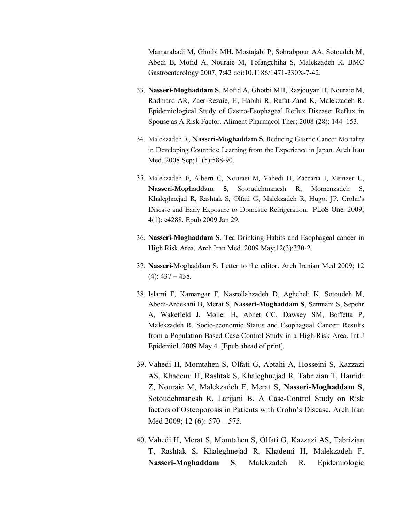Mamarabadi M, Ghotbi MH, Mostajabi P, Sohrabpour AA, Sotoudeh M, Abedi B, Mofid A, Nouraie M, Tofangchiha S, Malekzadeh R. BMC Gastroenterology 2007, **7**:42 doi:10.1186/1471-230X-7-42.

- 33. **Nasseri-Moghaddam S**, Mofid A, Ghotbi MH, Razjouyan H, Nouraie M, Radmard AR, Zaer-Rezaie, H, Habibi R, Rafat-Zand K, Malekzadeh R. Epidemiological Study of Gastro-Esophageal Reflux Disease: Reflux in Spouse as A Risk Factor. Aliment Pharmacol Ther; 2008 (28): 144–153.
- 34. Malekzadeh R, **Nasseri-Moghaddam S**. Reducing Gastric Cancer Mortality in Developing Countries: Learning from the Experience in Japan. Arch Iran Med. 2008 Sep;11(5):588-90.
- 35. Malekzadeh F, Alberti C, Nouraei M, Vahedi H, Zaccaria I, Meinzer U, **Nasseri-Moghaddam S**, Sotoudehmanesh R, Momenzadeh S, Khaleghnejad R, Rashtak S, Olfati G, Malekzadeh R, Hugot JP. Crohn's Disease and Early Exposure to Domestic Refrigeration. PLoS One. 2009; 4(1): e4288. Epub 2009 Jan 29.
- 36. **Nasseri-Moghaddam S**. Tea Drinking Habits and Esophageal cancer in High Risk Area. Arch Iran Med. 2009 May;12(3):330-2.
- 37. **Nasseri**-Moghaddam S. Letter to the editor. Arch Iranian Med 2009; 12  $(4): 437 - 438.$
- 38. Islami F, Kamangar F, Nasrollahzadeh D, Aghcheli K, Sotoudeh M, Abedi-Ardekani B, Merat S, **Nasseri-Moghaddam S**, Semnani S, Sepehr A, Wakefield J, Møller H, Abnet CC, Dawsey SM, Boffetta P, Malekzadeh R. Socio-economic Status and Esophageal Cancer: Results from a Population-Based Case-Control Study in a High-Risk Area. Int J Epidemiol. 2009 May 4. [Epub ahead of print].
- 39. Vahedi H, Momtahen S, Olfati G, Abtahi A, Hosseini S, Kazzazi AS, Khademi H, Rashtak S, Khaleghnejad R, Tabrizian T, Hamidi Z, Nouraie M, Malekzadeh F, Merat S, **Nasseri-Moghaddam S**, Sotoudehmanesh R, Larijani B. A Case-Control Study on Risk factors of Osteoporosis in Patients with Crohn's Disease. Arch Iran Med 2009; 12 (6): 570 – 575.
- 40. Vahedi H, Merat S, Momtahen S, Olfati G, Kazzazi AS, Tabrizian T, Rashtak S, Khaleghnejad R, Khademi H, Malekzadeh F, **Nasseri-Moghaddam S**, Malekzadeh R. Epidemiologic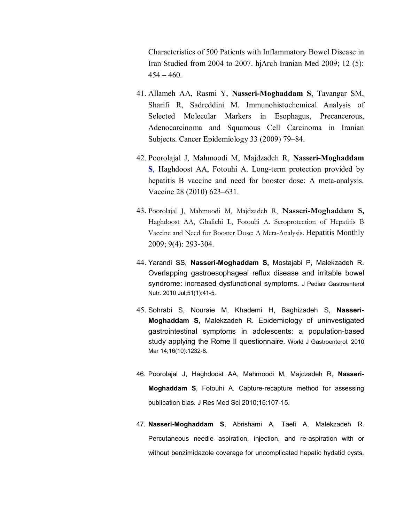Characteristics of 500 Patients with Inflammatory Bowel Disease in Iran Studied from 2004 to 2007. hjArch Iranian Med 2009; 12 (5):  $454 - 460.$ 

- 41. Allameh AA, Rasmi Y, **Nasseri-Moghaddam S**, Tavangar SM, Sharifi R, Sadreddini M. Immunohistochemical Analysis of Selected Molecular Markers in Esophagus, Precancerous, Adenocarcinoma and Squamous Cell Carcinoma in Iranian Subjects. Cancer Epidemiology 33 (2009) 79–84.
- 42. Poorolajal J, Mahmoodi M, Majdzadeh R, **Nasseri-Moghaddam S**, Haghdoost AA, Fotouhi A. Long-term protection provided by hepatitis B vaccine and need for booster dose: A meta-analysis. Vaccine 28 (2010) 623–631.
- 43. Poorolajal J, Mahmoodi M, Majdzadeh R, **Nasseri-Moghaddam S,**  Haghdoost AA, Ghalichi L, Fotouhi A. Seroprotection of Hepatitis B Vaccine and Need for Booster Dose: A Meta-Analysis. Hepatitis Monthly 2009; 9(4): 293-304.
- 44. Yarandi SS, **Nasseri-Moghaddam S,** Mostajabi P, Malekzadeh R. Overlapping gastroesophageal reflux disease and irritable bowel syndrome: increased dysfunctional symptoms. J Pediatr Gastroenterol Nutr. 2010 Jul;51(1):41-5.
- 45. Sohrabi S, Nouraie M, Khademi H, Baghizadeh S, **Nasseri-Moghaddam S**, Malekzadeh R. Epidemiology of uninvestigated gastrointestinal symptoms in adolescents: a population-based study applying the Rome II questionnaire. World J Gastroenterol. 2010 Mar 14;16(10):1232-8.
- 46. Poorolajal J, Haghdoost AA, Mahmoodi M, Majdzadeh R, **Nasseri-Moghaddam S**, Fotouhi A. Capture-recapture method for assessing publication bias. J Res Med Sci 2010;15:107-15.
- 47. **Nasseri-Moghaddam S**, Abrishami A, Taefi A, Malekzadeh R. Percutaneous needle aspiration, injection, and re-aspiration with or without benzimidazole coverage for uncomplicated hepatic hydatid cysts.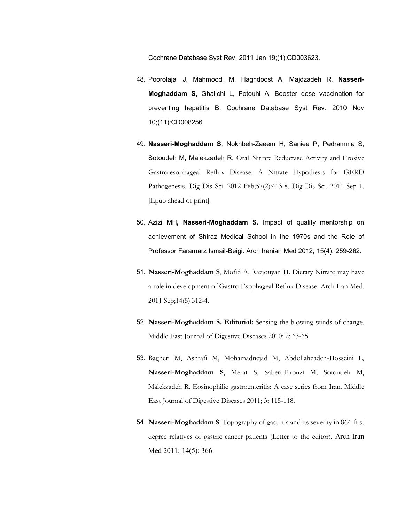Cochrane Database Syst Rev. 2011 Jan 19;(1):CD003623.

- 48. Poorolajal J, Mahmoodi M, Haghdoost A, Majdzadeh R, **Nasseri-Moghaddam S**, Ghalichi L, Fotouhi A. Booster dose vaccination for preventing hepatitis B. Cochrane Database Syst Rev. 2010 Nov 10;(11):CD008256.
- 49. **Nasseri-Moghaddam S**, Nokhbeh-Zaeem H, Saniee P, Pedramnia S, Sotoudeh M, Malekzadeh R. Oral Nitrate Reductase Activity and Erosive Gastro-esophageal Reflux Disease: A Nitrate Hypothesis for GERD Pathogenesis. Dig Dis Sci. 2012 Feb;57(2):413-8. Dig Dis Sci. 2011 Sep 1. [Epub ahead of print].
- 50. Azizi MH**, Nasseri-Moghaddam S.** Impact of quality mentorship on achievement of Shiraz Medical School in the 1970s and the Role of Professor Faramarz Ismail-Beigi. Arch Iranian Med 2012; 15(4): 259-262.
- 51. **Nasseri-Moghaddam S**, Mofid A, Razjouyan H. Dietary Nitrate may have a role in development of Gastro-Esophageal Reflux Disease. Arch Iran Med. 2011 Sep;14(5):312-4.
- 52. **Nasseri-Moghaddam S. Editorial:** Sensing the blowing winds of change. Middle East Journal of Digestive Diseases 2010; 2: 63-65.
- 53. Bagheri M, Ashrafi M, Mohamadnejad M, Abdollahzadeh-Hosseini L, **Nasseri-Moghaddam S**, Merat S, Saberi-Firouzi M, Sotoudeh M, Malekzadeh R. Eosinophilic gastroenteritis: A case series from Iran. Middle East Journal of Digestive Diseases 2011; 3: 115-118.
- 54. **Nasseri-Moghaddam S**. Topography of gastritis and its severity in 864 first degree relatives of gastric cancer patients (Letter to the editor). Arch Iran Med 2011; 14(5): 366.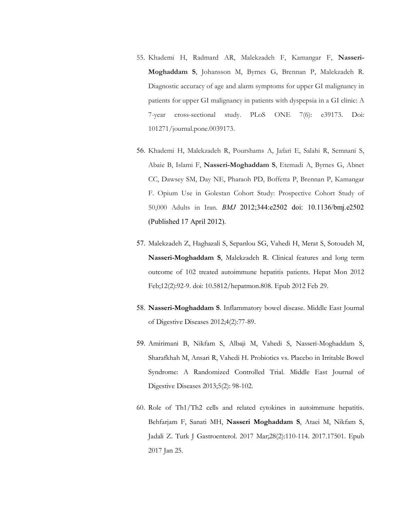- 55. Khademi H, Radmard AR, Malekzadeh F, Kamangar F, **Nasseri-Moghaddam S**, Johansson M, Byrnes G, Brennan P, Malekzadeh R. Diagnostic accuracy of age and alarm symptoms for upper GI malignancy in patients for upper GI malignancy in patients with dyspepsia in a GI clinic: A 7-year cross-sectional study. PLoS ONE 7(6): e39173. Doi: 101271/journal.pone.0039173.
- 56. Khademi H, Malekzadeh R, Pourshams A, Jafari E, Salahi R, Semnani S, Abaie B, Islami F, **Nasseri-Moghaddam S**, Etemadi A, Byrnes G, Abnet CC, Dawsey SM, Day NE, Pharaoh PD, Boffetta P, Brennan P, Kamangar F. Opium Use in Golestan Cohort Study: Prospective Cohort Study of 50,000 Adults in Iran. *BMJ* 2012;344:e2502 doi: 10.1136/bmj.e2502 (Published 17 April 2012).
- 57. Malekzadeh Z, Haghazali S, Sepanlou SG, Vahedi H, Merat S, Sotoudeh M, **Nasseri-Moghaddam S**, Malekzadeh R. Clinical features and long term outcome of 102 treated autoimmune hepatitis patients. Hepat Mon 2012 Feb;12(2):92-9. doi: 10.5812/hepatmon.808. Epub 2012 Feb 29.
- 58. **Nasseri-Moghaddam S**. Inflammatory bowel disease. Middle East Journal of Digestive Diseases 2012;4(2):77-89.
- 59. Amirimani B, Nikfam S, Albaji M, Vahedi S, Nasseri-Moghaddam S, Sharafkhah M, Ansari R, Vahedi H. Probiotics vs. Placebo in Irritable Bowel Syndrome: A Randomized Controlled Trial. Middle East Journal of Digestive Diseases 2013;5(2): 98-102.
- 60. Role of Th1/Th2 cells and related cytokines in autoimmune hepatitis. Behfarjam F, Sanati MH, **Nasseri Moghaddam S**, Ataei M, Nikfam S, Jadali Z. Turk J Gastroenterol. 2017 Mar;28(2):110-114. 2017.17501. Epub 2017 Jan 25.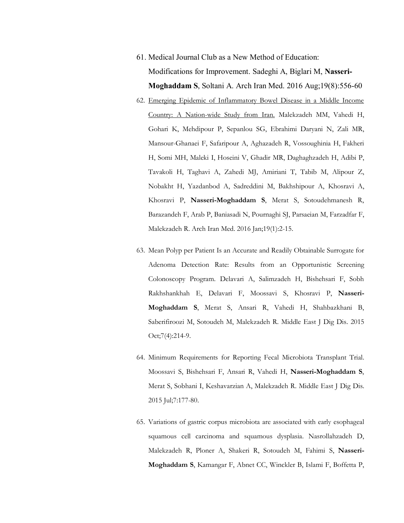- 61. Medical Journal Club as a New Method of Education: Modifications for Improvement. Sadeghi A, Biglari M, **Nasseri-Moghaddam S**, Soltani A. Arch Iran Med. 2016 Aug;19(8):556-60
- 62. Emerging Epidemic of Inflammatory Bowel Disease in a Middle Income Country: A Nation-wide Study from Iran. Malekzadeh MM, Vahedi H, Gohari K, Mehdipour P, Sepanlou SG, Ebrahimi Daryani N, Zali MR, Mansour-Ghanaei F, Safaripour A, Aghazadeh R, Vossoughinia H, Fakheri H, Somi MH, Maleki I, Hoseini V, Ghadir MR, Daghaghzadeh H, Adibi P, Tavakoli H, Taghavi A, Zahedi MJ, Amiriani T, Tabib M, Alipour Z, Nobakht H, Yazdanbod A, Sadreddini M, Bakhshipour A, Khosravi A, Khosravi P, **Nasseri-Moghaddam S**, Merat S, Sotoudehmanesh R, Barazandeh F, Arab P, Baniasadi N, Pournaghi SJ, Parsaeian M, Farzadfar F, Malekzadeh R. Arch Iran Med. 2016 Jan;19(1):2-15.
- 63. Mean Polyp per Patient Is an Accurate and Readily Obtainable Surrogate for Adenoma Detection Rate: Results from an Opportunistic Screening Colonoscopy Program. Delavari A, Salimzadeh H, Bishehsari F, Sobh Rakhshankhah E, Delavari F, Moossavi S, Khosravi P, **Nasseri-Moghaddam S**, Merat S, Ansari R, Vahedi H, Shahbazkhani B, Saberifiroozi M, Sotoudeh M, Malekzadeh R. Middle East J Dig Dis. 2015 Oct;7(4):214-9.
- 64. Minimum Requirements for Reporting Fecal Microbiota Transplant Trial. Moossavi S, Bishehsari F, Ansari R, Vahedi H, **Nasseri-Moghaddam S**, Merat S, Sobhani I, Keshavarzian A, Malekzadeh R. Middle East J Dig Dis. 2015 Jul;7:177-80.
- 65. Variations of gastric corpus microbiota are associated with early esophageal squamous cell carcinoma and squamous dysplasia. Nasrollahzadeh D, Malekzadeh R, Ploner A, Shakeri R, Sotoudeh M, Fahimi S, **Nasseri-Moghaddam S**, Kamangar F, Abnet CC, Winckler B, Islami F, Boffetta P,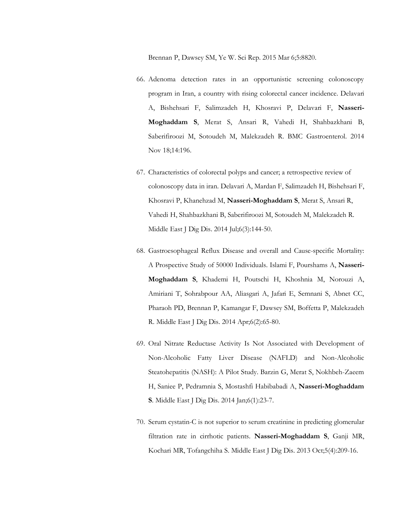Brennan P, Dawsey SM, Ye W. Sci Rep. 2015 Mar 6;5:8820.

- 66. Adenoma detection rates in an opportunistic screening colonoscopy program in Iran, a country with rising colorectal cancer incidence. Delavari A, Bishehsari F, Salimzadeh H, Khosravi P, Delavari F, **Nasseri-Moghaddam S**, Merat S, Ansari R, Vahedi H, Shahbazkhani B, Saberifiroozi M, Sotoudeh M, Malekzadeh R. BMC Gastroenterol. 2014 Nov 18;14:196.
- 67. Characteristics of colorectal polyps and cancer; a retrospective review of colonoscopy data in iran. Delavari A, Mardan F, Salimzadeh H, Bishehsari F, Khosravi P, Khanehzad M, **Nasseri-Moghaddam S**, Merat S, Ansari R, Vahedi H, Shahbazkhani B, Saberifiroozi M, Sotoudeh M, Malekzadeh R. Middle East J Dig Dis. 2014 Jul;6(3):144-50.
- 68. Gastroesophageal Reflux Disease and overall and Cause-specific Mortality: A Prospective Study of 50000 Individuals. Islami F, Pourshams A, **Nasseri-Moghaddam S**, Khademi H, Poutschi H, Khoshnia M, Norouzi A, Amiriani T, Sohrabpour AA, Aliasgari A, Jafari E, Semnani S, Abnet CC, Pharaoh PD, Brennan P, Kamangar F, Dawsey SM, Boffetta P, Malekzadeh R. Middle East J Dig Dis. 2014 Apr;6(2):65-80.
- 69. Oral Nitrate Reductase Activity Is Not Associated with Development of Non-Alcoholic Fatty Liver Disease (NAFLD) and Non-Alcoholic Steatohepatitis (NASH): A Pilot Study. Barzin G, Merat S, Nokhbeh-Zaeem H, Saniee P, Pedramnia S, Mostashfi Habibabadi A, **Nasseri-Moghaddam S**. Middle East J Dig Dis. 2014 Jan;6(1):23-7.
- 70. Serum cystatin-C is not superior to serum creatinine in predicting glomerular filtration rate in cirrhotic patients. **Nasseri-Moghaddam S**, Ganji MR, Kochari MR, Tofangchiha S. Middle East J Dig Dis. 2013 Oct;5(4):209-16.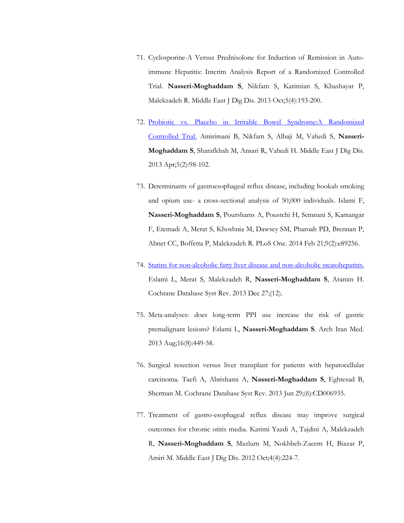- 71. Cyclosporine-A Versus Prednisolone for Induction of Remission in Autoimmune Hepatitis: Interim Analysis Report of a Randomized Controlled Trial. **Nasseri-Moghaddam S**, Nikfam S, Karimian S, Khashayar P, Malekzadeh R. Middle East J Dig Dis. 2013 Oct;5(4):193-200.
- 72. Probiotic vs. Placebo in Irritable Bowel Syndrome:A Randomized Controlled Trial. Amirimani B, Nikfam S, Albaji M, Vahedi S, **Nasseri-Moghaddam S**, Sharafkhah M, Ansari R, Vahedi H. Middle East J Dig Dis. 2013 Apr;5(2):98-102.
- 73. Determinants of gastroesophageal reflux disease, including hookah smoking and opium use- a cross-sectional analysis of 50,000 individuals. Islami F, **Nasseri-Moghaddam S**, Pourshams A, Poustchi H, Semnani S, Kamangar F, Etemadi A, Merat S, Khoshnia M, Dawsey SM, Pharoah PD, Brennan P, Abnet CC, Boffetta P, Malekzadeh R. PLoS One. 2014 Feb 21;9(2):e89256.
- 74. Statins for non-alcoholic fatty liver disease and non-alcoholic steatohepatitis. Eslami L, Merat S, Malekzadeh R, **Nasseri-Moghaddam S**, Aramin H. Cochrane Database Syst Rev. 2013 Dec 27;(12).
- 75. Meta-analyses: does long-term PPI use increase the risk of gastric premalignant lesions? Eslami L, **Nasseri-Moghaddam S**. Arch Iran Med. 2013 Aug;16(8):449-58.
- 76. Surgical resection versus liver transplant for patients with hepatocellular carcinoma. Taefi A, Abrishami A, **Nasseri-Moghaddam S**, Eghtesad B, Sherman M. Cochrane Database Syst Rev. 2013 Jun 29;(6):CD006935.
- 77. Treatment of gastro-esophageal reflux disease may improve surgical outcomes for chronic otitis media. Karimi Yazdi A, Tajdini A, Malekzadeh R, **Nasseri-Moghaddam S**, Mazlum M, Nokhbeh-Zaeem H, Biazar P, Amiri M. Middle East J Dig Dis. 2012 Oct;4(4):224-7.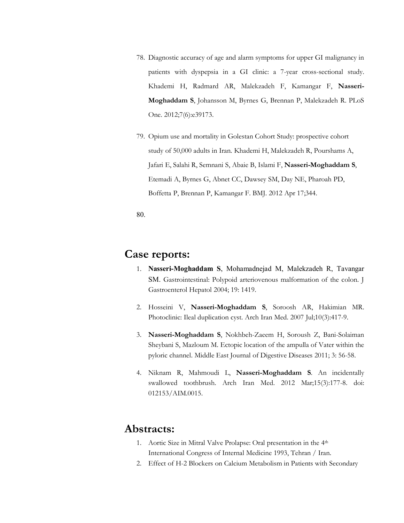- 78. Diagnostic accuracy of age and alarm symptoms for upper GI malignancy in patients with dyspepsia in a GI clinic: a 7-year cross-sectional study. Khademi H, Radmard AR, Malekzadeh F, Kamangar F, **Nasseri-Moghaddam S**, Johansson M, Byrnes G, Brennan P, Malekzadeh R. PLoS One. 2012;7(6):e39173.
- 79. Opium use and mortality in Golestan Cohort Study: prospective cohort study of 50,000 adults in Iran. Khademi H, Malekzadeh R, Pourshams A, Jafari E, Salahi R, Semnani S, Abaie B, Islami F, **Nasseri-Moghaddam S**, Etemadi A, Byrnes G, Abnet CC, Dawsey SM, Day NE, Pharoah PD, Boffetta P, Brennan P, Kamangar F. BMJ. 2012 Apr 17;344.

80.

## **Case reports:**

- 1. **Nasseri-Moghaddam S**, Mohamadnejad M, Malekzadeh R, Tavangar SM. Gastrointestinal: Polypoid arteriovenous malformation of the colon. J Gastroenterol Hepatol 2004; 19: 1419.
- 2. Hosseini V, **Nasseri-Moghaddam S**, Soroosh AR, Hakimian MR. Photoclinic: Ileal duplication cyst. Arch Iran Med. 2007 Jul;10(3):417-9.
- 3. **Nasseri-Moghaddam S**, Nokhbeh-Zaeem H, Soroush Z, Bani-Solaiman Sheybani S, Mazloum M. Ectopic location of the ampulla of Vater within the pyloric channel. Middle East Journal of Digestive Diseases 2011; 3: 56-58.
- 4. Niknam R, Mahmoudi L, **Nasseri-Moghaddam S**. An incidentally swallowed toothbrush. Arch Iran Med. 2012 Mar;15(3):177-8. doi: 012153/AIM.0015.

## **Abstracts:**

- 1. Aortic Size in Mitral Valve Prolapse: Oral presentation in the 4th International Congress of Internal Medicine 1993, Tehran / Iran.
- 2. Effect of H-2 Blockers on Calcium Metabolism in Patients with Secondary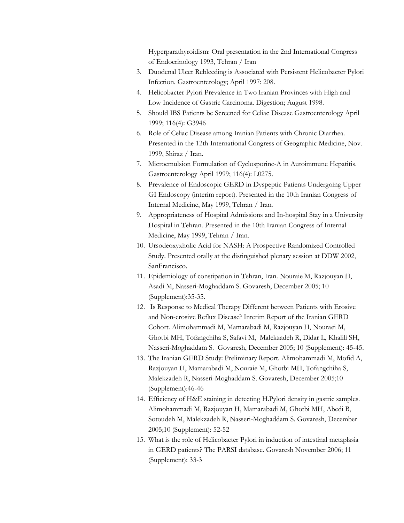Hyperparathyroidism: Oral presentation in the 2nd International Congress of Endocrinology 1993, Tehran / Iran

- 3. Duodenal Ulcer Rebleeding is Associated with Persistent Helicobacter Pylori Infection. Gastroenterology; April 1997: 208.
- 4. Helicobacter Pylori Prevalence in Two Iranian Provinces with High and Low Incidence of Gastric Carcinoma. Digestion; August 1998.
- 5. Should IBS Patients be Screened for Celiac Disease Gastroenterology April 1999; 116(4): G3946
- 6. Role of Celiac Disease among Iranian Patients with Chronic Diarrhea. Presented in the 12th International Congress of Geographic Medicine, Nov. 1999, Shiraz / Iran.
- 7. Microemulsion Formulation of Cyclosporine-A in Autoimmune Hepatitis. Gastroenterology April 1999; 116(4): L0275.
- 8. Prevalence of Endoscopic GERD in Dyspeptic Patients Undergoing Upper GI Endoscopy (interim report). Presented in the 10th Iranian Congress of Internal Medicine, May 1999, Tehran / Iran.
- 9. Appropriateness of Hospital Admissions and In-hospital Stay in a University Hospital in Tehran. Presented in the 10th Iranian Congress of Internal Medicine, May 1999, Tehran / Iran.
- 10. Ursodeoxyxholic Acid for NASH: A Prospective Randomized Controlled Study. Presented orally at the distinguished plenary session at DDW 2002, SanFrancisco.
- 11. Epidemiology of constipation in Tehran, Iran. Nouraie M, Razjouyan H, Asadi M, Nasseri-Moghaddam S. Govaresh, December 2005; 10 (Supplement):35-35.
- 12. Is Response to Medical Therapy Different between Patients with Erosive and Non-erosive Reflux Disease? Interim Report of the Iranian GERD Cohort. Alimohammadi M, Mamarabadi M, Razjouyan H, Nouraei M, Ghotbi MH, Tofangchiha S, Safavi M, Malekzadeh R, Didar L, Khalili SH, Nasseri-Moghaddam S. Govaresh, December 2005; 10 (Supplement): 45-45.
- 13. The Iranian GERD Study: Preliminary Report. Alimohammadi M, Mofid A, Razjouyan H, Mamarabadi M, Nouraie M, Ghotbi MH, Tofangchiha S, Malekzadeh R, Nasseri-Moghaddam S. Govaresh, December 2005;10 (Supplement):46-46
- 14. Efficiency of H&E staining in detecting H.Pylori density in gastric samples. Alimohammadi M, Razjouyan H, Mamarabadi M, Ghotbi MH, Abedi B, Sotoudeh M, Malekzadeh R, Nasseri-Moghaddam S. Govaresh, December 2005;10 (Supplement): 52-52
- 15. What is the role of Helicobacter Pylori in induction of intestinal metaplasia in GERD patients? The PARSI database. Govaresh November 2006; 11 (Supplement): 33-3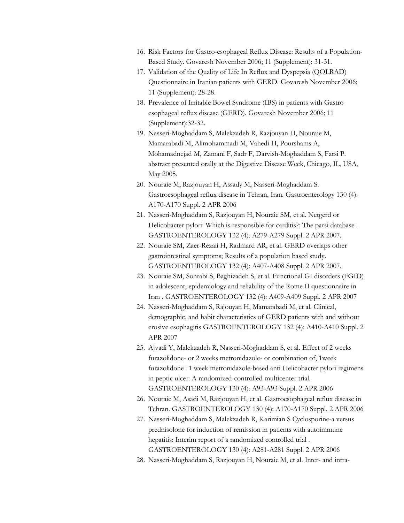- 16. Risk Factors for Gastro-esophageal Reflux Disease: Results of a Population-Based Study. Govaresh November 2006; 11 (Supplement): 31-31.
- 17. Validation of the Quality of Life In Reflux and Dyspepsia (QOLRAD) Questionnaire in Iranian patients with GERD. Govaresh November 2006; 11 (Supplement): 28-28.
- 18. Prevalence of Irritable Bowel Syndrome (IBS) in patients with Gastro esophageal reflux disease (GERD). Govaresh November 2006; 11 (Supplement):32-32.
- 19. Nasseri-Moghaddam S, Malekzadeh R, Razjouyan H, Nouraie M, Mamarabadi M, Alimohammadi M, Vahedi H, Pourshams A, Mohamadnejad M, Zamani F, Sadr F, Darvish-Moghaddam S, Farsi P. abstract presented orally at the Digestive Disease Week, Chicago, IL, USA, May 2005.
- 20. Nouraie M, Razjouyan H, Assady M, Nasseri-Moghaddam S. Gastroesophageal reflux disease in Tehran, Iran. Gastroenterology 130 (4): A170-A170 Suppl. 2 APR 2006
- 21. Nasseri-Moghaddam S, Razjouyan H, Nouraie SM, et al. Netgerd or Helicobacter pylori: Which is responsible for carditis?; The parsi database . GASTROENTEROLOGY 132 (4): A279-A279 Suppl. 2 APR 2007.
- 22. Nouraie SM, Zaer-Rezaii H, Radmard AR, et al. GERD overlaps other gastrointestinal symptoms; Results of a population based study. GASTROENTEROLOGY 132 (4): A407-A408 Suppl. 2 APR 2007.
- 23. Nouraie SM, Sohrabi S, Baghizadeh S, et al. Functional GI disorders (FGID) in adolescent, epidemiology and reliability of the Rome II questionnaire in Iran . GASTROENTEROLOGY 132 (4): A409-A409 Suppl. 2 APR 2007
- 24. Nasseri-Moghaddam S, Rajouyan H, Mamarabadi M, et al. Clinical, demographic, and habit characteristics of GERD patients with and without erosive esophagitis GASTROENTEROLOGY 132 (4): A410-A410 Suppl. 2 APR 2007
- 25. Ajvadi Y, Malekzadeh R, Nasseri-Moghaddam S, et al. Effect of 2 weeks furazolidone- or 2 weeks metronidazole- or combination of, 1week furazolidone+1 week metronidazole-based anti Helicobacter pylori regimens in peptic ulcer: A randomized-controlled multicenter trial. GASTROENTEROLOGY 130 (4): A93-A93 Suppl. 2 APR 2006
- 26. Nouraie M, Asadi M, Razjouyan H, et al. Gastroesophageal reflux disease in Tehran. GASTROENTEROLOGY 130 (4): A170-A170 Suppl. 2 APR 2006
- 27. Nasseri-Moghaddam S, Malekzadeh R, Karimian S Cyclosporine-a versus prednisolone for induction of remission in patients with autoimmune hepatitis: Interim report of a randomized controlled trial . GASTROENTEROLOGY 130 (4): A281-A281 Suppl. 2 APR 2006
- 28. Nasseri-Moghaddam S, Razjouyan H, Nouraie M, et al. Inter- and intra-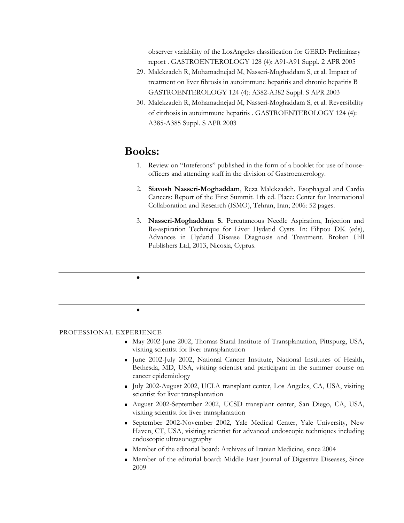observer variability of the LosAngeles classification for GERD: Preliminary report . GASTROENTEROLOGY 128 (4): A91-A91 Suppl. 2 APR 2005

- 29. Malekzadeh R, Mohamadnejad M, Nasseri-Moghaddam S, et al. Impact of treatment on liver fibrosis in autoimmune hepatitis and chronic hepatitis B GASTROENTEROLOGY 124 (4): A382-A382 Suppl. S APR 2003
- 30. Malekzadeh R, Mohamadnejad M, Nasseri-Moghaddam S, et al. Reversibility of cirrhosis in autoimmune hepatitis . GASTROENTEROLOGY 124 (4): A385-A385 Suppl. S APR 2003

# **Books:**

 $\bullet$ 

 $\bullet$ 

- 1. Review on "Inteferons" published in the form of a booklet for use of houseofficers and attending staff in the division of Gastroenterology.
- 2. **Siavosh Nasseri-Moghaddam**, Reza Malekzadeh. Esophageal and Cardia Cancers: Report of the First Summit. 1th ed. Place: Center for International Collaboration and Research (ISMO), Tehran, Iran; 2006: 52 pages.
- 3. **Nasseri-Moghaddam S.** Percutaneous Needle Aspiration, Injection and Re-aspiration Technique for Liver Hydatid Cysts. In: Filipou DK (eds), Advances in Hydatid Disease Diagnosis and Treatment. Broken Hill Publishers Ltd, 2013, Nicosia, Cyprus.

PROFESSIONAL EXPERIENCE

- May 2002-June 2002, Thomas Starzl Institute of Transplantation, Pittspurg, USA, visiting scientist for liver transplantation
- June 2002-July 2002, National Cancer Institute, National Institutes of Health, Bethesda, MD, USA, visiting scientist and participant in the summer course on cancer epidemiology
- July 2002-August 2002, UCLA transplant center, Los Angeles, CA, USA, visiting scientist for liver transplantation
- August 2002-September 2002, UCSD transplant center, San Diego, CA, USA, visiting scientist for liver transplantation
- September 2002-November 2002, Yale Medical Center, Yale University, New Haven, CT, USA, visiting scientist for advanced endoscopic techniques including endoscopic ultrasonography
- Member of the editorial board: Archives of Iranian Medicine, since 2004
- Member of the editorial board: Middle East Journal of Digestive Diseases, Since 2009